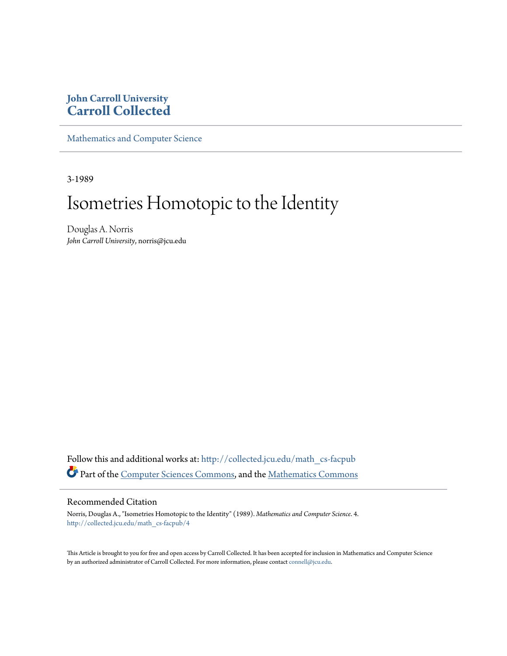## **John Carroll University [Carroll Collected](http://collected.jcu.edu?utm_source=collected.jcu.edu%2Fmath_cs-facpub%2F4&utm_medium=PDF&utm_campaign=PDFCoverPages)**

[Mathematics and Computer Science](http://collected.jcu.edu/math_cs-facpub?utm_source=collected.jcu.edu%2Fmath_cs-facpub%2F4&utm_medium=PDF&utm_campaign=PDFCoverPages)

3-1989

# Isometries Homotopic to the Identity

Douglas A. Norris *John Carroll University*, norris@jcu.edu

Follow this and additional works at: [http://collected.jcu.edu/math\\_cs-facpub](http://collected.jcu.edu/math_cs-facpub?utm_source=collected.jcu.edu%2Fmath_cs-facpub%2F4&utm_medium=PDF&utm_campaign=PDFCoverPages) Part of the [Computer Sciences Commons](http://network.bepress.com/hgg/discipline/142?utm_source=collected.jcu.edu%2Fmath_cs-facpub%2F4&utm_medium=PDF&utm_campaign=PDFCoverPages), and the [Mathematics Commons](http://network.bepress.com/hgg/discipline/174?utm_source=collected.jcu.edu%2Fmath_cs-facpub%2F4&utm_medium=PDF&utm_campaign=PDFCoverPages)

### Recommended Citation

Norris, Douglas A., "Isometries Homotopic to the Identity" (1989). *Mathematics and Computer Science*. 4. [http://collected.jcu.edu/math\\_cs-facpub/4](http://collected.jcu.edu/math_cs-facpub/4?utm_source=collected.jcu.edu%2Fmath_cs-facpub%2F4&utm_medium=PDF&utm_campaign=PDFCoverPages)

This Article is brought to you for free and open access by Carroll Collected. It has been accepted for inclusion in Mathematics and Computer Science by an authorized administrator of Carroll Collected. For more information, please contact [connell@jcu.edu.](mailto:connell@jcu.edu)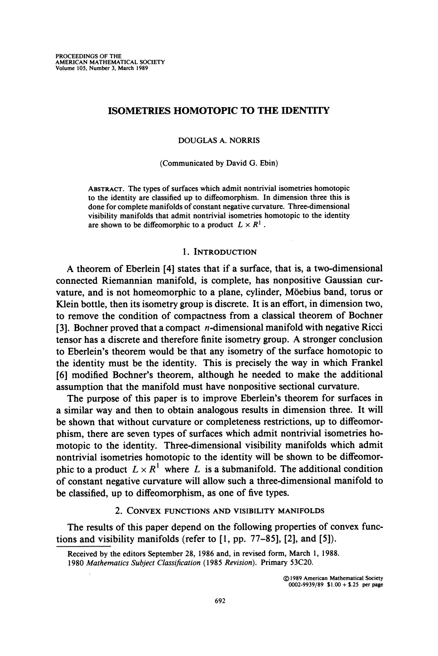#### **ISOMETRIES HOMOTOPIC TO THE IDENTITY**

**DOUGLAS A. NORRIS** 

**(Communicated by David G. Ebin)** 

**ABSTRACT. The types of surfaces which admit nontrivial isometries homotopic to the identity are classified up to diffeomorphism. In dimension three this is done for complete manifolds of constant negative curvature. Three-dimensional visibility manifolds that admit nontrivial isometries homotopic to the identity**  are shown to be diffeomorphic to a product  $L \times R^1$ .

#### **1. INTRODUCTION**

**A theorem of Eberlein [4] states that if a surface, that is, a two-dimensional connected Riemannian manifold, is complete, has nonpositive Gaussian curvature, and is not homeomorphic to a plane, cylinder, Moebius band, torus or Klein bottle, then its isometry group is discrete. It is an effort, in dimension two, to remove the condition of compactness from a classical theorem of Bochner [3]. Bochner proved that a compact n-dimensional manifold with negative Ricci tensor has a discrete and therefore finite isometry group. A stronger conclusion to Eberlein's theorem would be that any isometry of the surface homotopic to the identity must be the identity. This is precisely the way in which Frankel [6] modified Bochner's theorem, although he needed to make the additional assumption that the manifold must have nonpositive sectional curvature.** 

**The purpose of this paper is to improve Eberlein's theorem for surfaces in a similar way and then to obtain analogous results in dimension three. It will be shown that without curvature or completeness restrictions, up to diffeomorphism, there are seven types of surfaces which admit nontrivial isometries homotopic to the identity. Three-dimensional visibility manifolds which admit nontrivial isometries homotopic to the identity will be shown to be diffeomor**phic to a product  $L \times R^1$  where L is a submanifold. The additional condition **of constant negative curvature will allow such a three-dimensional manifold to be classified, up to diffeomorphism, as one of five types.** 

**2. CONVEX FUNCTIONS AND VISIBILITY MANIFOLDS** 

**The results of this paper depend on the following properties of convex functions and visibility manifolds (refer to [1, pp. 77-85], [2], and [5]).** 

**Received by the editors September 28, 1986 and, in revised form, March 1, 1988. 1980 Mathematics Subject Classification (1985 Revision). Primary 53C20.** 

> **? 1989 American Mathematical Society 0002-9939/89 \$1.00 + \$.25 per page**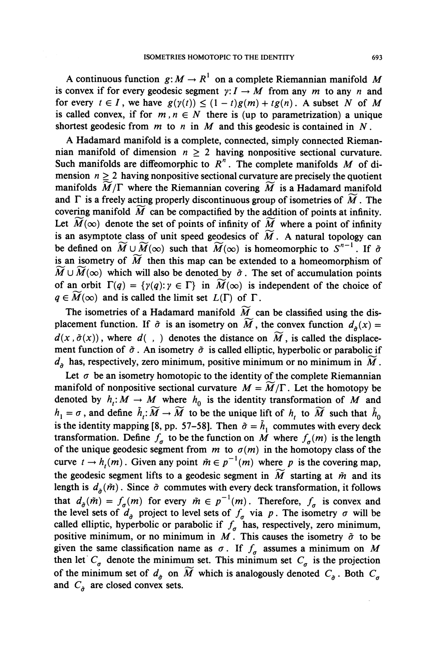A continuous function  $g: M \to R^1$  on a complete Riemannian manifold M is convex if for every geodesic segment  $y: I \rightarrow M$  from any m to any n and for every  $t \in I$ , we have  $g(\gamma(t)) \leq (1-t)g(m) + tg(n)$ . A subset N of M is called convex, if for  $m, n \in N$  there is (up to parametrization) a unique shortest geodesic from  $m$  to  $n$  in  $M$  and this geodesic is contained in  $N$ .

**A Hadamard manifold is a complete, connected, simply connected Rieman**nian manifold of dimension  $n \geq 2$  having nonpositive sectional curvature. Such manifolds are diffeomorphic to  $R^n$ . The complete manifolds M of di**mension**  $n \geq 2$  having nonpositive sectional curvature are precisely the quotient manifolds  $\overline{M}/\Gamma$  where the Riemannian covering  $\overline{M}$  is a Hadamard manifold and  $\Gamma$  is a freely acting properly discontinuous group of isometries of  $\widetilde{M}$ . The covering manifold  $\overline{M}$  can be compactified by the addition of points at infinity. Let  $\widetilde{M}(\infty)$  denote the set of points of infinity of  $\widetilde{M}$  where a point of infinity is an asymptote class of unit speed geodesics of  $\widetilde{M}$ . A natural topology can be defined on  $\widetilde{M} \cup \widetilde{M}(\infty)$  such that  $\widetilde{M}(\infty)$  is homeomorphic to  $S^{n-1}$ . If  $\tilde{\sigma}$ is an isometry of  $\widetilde{M}$  then this map can be extended to a homeomorphism of  $\widetilde{M} \cup \widetilde{M}(\infty)$  which will also be denoted by  $\tilde{\sigma}$ . The set of accumulation points of an orbit  $\Gamma(q) = \{\gamma(q): \gamma \in \Gamma\}$  in  $\widetilde{M}(\infty)$  is independent of the choice of  $q \in M(\infty)$  and is called the limit set  $L(\Gamma)$  of  $\Gamma$ .

The isometries of a Hadamard manifold  $\widetilde{M}$  can be classified using the dis**placement function.** If  $\tilde{\sigma}$  is an isometry on  $\widetilde{M}$ , the convex function  $d_{\tilde{\sigma}}(x) =$  $d(x, \tilde{\sigma}(x))$ , where  $d(\cdot, \cdot)$  denotes the distance on  $\widetilde{M}$ , is called the displacement function of  $\tilde{\sigma}$ . An isometry  $\tilde{\sigma}$  is called elliptic, hyperbolic or parabolic if  $d_{\sigma}$  has, respectively, zero minimum, positive minimum or no minimum in  $\widetilde{M}$ .

Let  $\sigma$  be an isometry homotopic to the identity of the complete Riemannian **manifold of nonpositive sectional curvature**  $M = \widetilde{M}/\Gamma$ **. Let the homotopy be** denoted by  $h_t: M \to M$  where  $h_0$  is the identity transformation of M and  $h_1 = \sigma$ , and define  $\tilde{h}_1: \widetilde{M} \to \widetilde{M}$  to be the unique lift of  $h_1$  to  $\widetilde{M}$  such that  $\tilde{h}_0$ is the identity mapping [8, pp. 57-58]. Then  $\tilde{\sigma} = \tilde{h}_1$  commutes with every deck **transformation.** Define  $f_a$  to be the function on M where  $f_a(m)$  is the length of the unique geodesic segment from  $m$  to  $\sigma(m)$  in the homotopy class of the curve  $t \to h_r(m)$ . Given any point  $\tilde{m} \in p^{-1}(m)$  where p is the covering map, the geodesic segment lifts to a geodesic segment in  $\widetilde{M}$  starting at  $\widetilde{m}$  and its **length is**  $d_{\sigma}(\tilde{m})$ **. Since**  $\tilde{\sigma}$  **commutes with every deck transformation, it follows that**  $d_{\sigma}(\tilde{m}) = f_{\sigma}(m)$  for every  $\tilde{m} \in p^{-1}(m)$ . Therefore,  $f_{\sigma}$  is convex and the level sets of  $d_{\hat{\sigma}}$  project to level sets of  $f_{\sigma}$  via p. The isometry  $\sigma$  will be called elliptic, hyperbolic or parabolic if  $f<sub>g</sub>$  has, respectively, zero minimum, positive minimum, or no minimum in  $M$ . This causes the isometry  $\tilde{\sigma}$  to be given the same classification name as  $\sigma$ . If  $f_{\sigma}$  assumes a minimum on M then let  $C<sub>g</sub>$  denote the minimum set. This minimum set  $C<sub>g</sub>$  is the projection of the minimum set of  $d_{\sigma}$  on  $\widetilde{M}$  which is analogously denoted  $C_{\sigma}$ . Both  $C_{\sigma}$ and  $C_{\hat{\sigma}}$  are closed convex sets.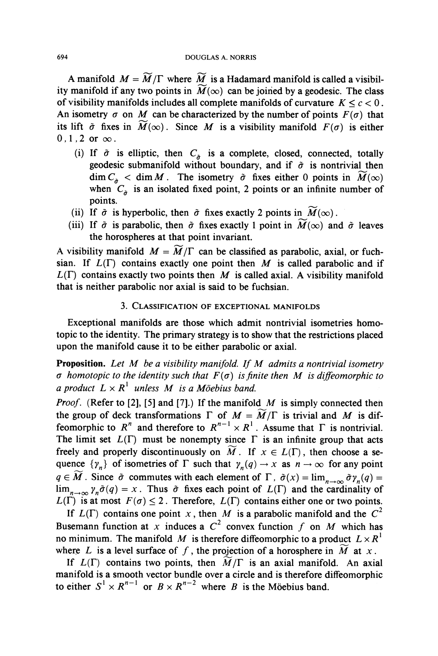A manifold  $M = \widetilde{M}/\Gamma$  where  $\widetilde{M}$  is a Hadamard manifold is called a visibility manifold if any two points in  $\widetilde{M}(\infty)$  can be joined by a geodesic. The class of visibility manifolds includes all complete manifolds of curvature  $K \leq c < 0$ . An isometry  $\sigma$  on M can be characterized by the number of points  $F(\sigma)$  that its lift  $\tilde{\sigma}$  fixes in  $\widetilde{M}(\infty)$ . Since M is a visibility manifold  $F(\sigma)$  is either  $0, 1, 2$  or  $\infty$ .

- (i) If  $\tilde{\sigma}$  is elliptic, then  $C_{\tilde{\sigma}}$  is a complete, closed, connected, totally geodesic submanifold without boundary, and if  $\tilde{\sigma}$  is nontrivial then  $\dim C_{\hat{\sigma}} < \dim M$ . The isometry  $\tilde{\sigma}$  fixes either 0 points in  $\widetilde{M}(\infty)$ when  $C_{\sigma}$  is an isolated fixed point, 2 points or an infinite number of **points.**
- (ii) If  $\tilde{\sigma}$  is hyperbolic, then  $\tilde{\sigma}$  fixes exactly 2 points in  $\tilde{M}(\infty)$ .
- (iii) If  $\tilde{\sigma}$  is parabolic, then  $\tilde{\sigma}$  fixes exactly 1 point in  $\tilde{M}(\infty)$  and  $\tilde{\sigma}$  leaves **the horospheres at that point invariant.**

A visibility manifold  $M = \widetilde{M}/\Gamma$  can be classified as parabolic, axial, or fuchsian. If  $L(\Gamma)$  contains exactly one point then  $M$  is called parabolic and if  $L(\Gamma)$  contains exactly two points then M is called axial. A visibility manifold **that is neither parabolic nor axial is said to be fuchsian.** 

#### **3. CLASSIFICATION OF EXCEPTIONAL MANIFOLDS**

**Exceptional manifolds are those which admit nontrivial isometries homotopic to the identity. The primary strategy is to show that the restrictions placed upon the manifold cause it to be either parabolic or axial.** 

**Proposition.** Let M be a visibility manifold. If M admits a nontrivial isometry  $\sigma$  homotopic to the identity such that  $F(\sigma)$  is finite then M is diffeomorphic to a product  $L \times R<sup>1</sup>$  unless M is a Möebius band.

**Proof. (Refer to [2], [5] and [7].) If the manifold M is simply connected then**  the group of deck transformations  $\Gamma$  of  $M = \widetilde{M}/\Gamma$  is trivial and M is dif**feomorphic to R<sup>n</sup>** and therefore to  $R^{n-1} \times R^1$ . Assume that  $\Gamma$  is nontrivial. The limit set  $L(\Gamma)$  must be nonempty since  $\Gamma$  is an infinite group that acts freely and properly discontinuously on  $\widetilde{M}$ . If  $x \in L(\Gamma)$ , then choose a sequence  $\{\gamma_n\}$  of isometries of  $\Gamma$  such that  $\gamma_n(q) \to x$  as  $n \to \infty$  for any point  $q \in \widetilde{M}$ . Since  $\tilde{\sigma}$  commutes with each element of  $\Gamma$ ,  $\tilde{\sigma}(x) = \lim_{n \to \infty} \tilde{\sigma} \gamma_n(q) =$  $\lim_{n\to\infty} \gamma_n \tilde{\sigma}(q) = x$ . Thus  $\tilde{\sigma}$  fixes each point of  $L(\Gamma)$  and the cardinality of  $L(\Gamma)$  is at most  $F(\sigma) \leq 2$ . Therefore,  $L(\Gamma)$  contains either one or two points.

If  $L(\Gamma)$  contains one point x, then M is a parabolic manifold and the  $C^2$ Busemann function at x induces a  $C^2$  convex function f on M which has **no minimum.** The manifold M is therefore diffeomorphic to a product  $L \times R<sup>1</sup>$ where L is a level surface of f, the projection of a horosphere in  $\overline{M}$  at x.

If  $L(\Gamma)$  contains two points, then  $\overline{M}/\Gamma$  is an axial manifold. An axial **manifold is a smooth vector bundle over a circle and is therefore diffeomorphic**  to either  $S^1 \times R^{n-1}$  or  $B \times R^{n-2}$  where B is the Möebius band.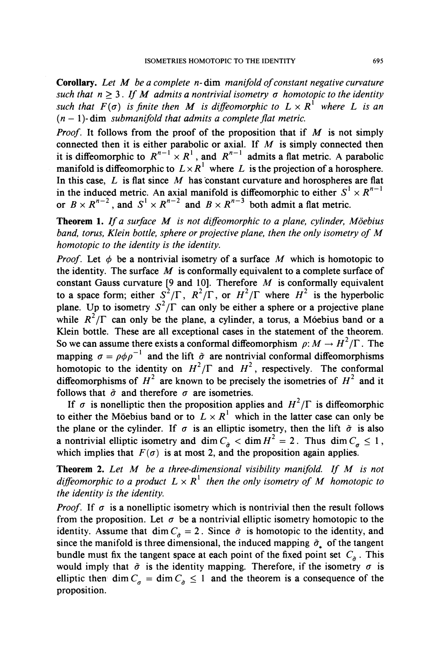**Corollary.** Let M be a complete n-dim manifold of constant negative curvature such that  $n \geq 3$ . If M admits a nontrivial isometry  $\sigma$  homotopic to the identity such that  $F(\sigma)$  is finite then M is diffeomorphic to  $L \times R<sup>1</sup>$  where L is an  $(n - 1)$ - dim *submanifold that admits a complete flat metric.* 

**Proof. It follows from the proof of the proposition that if M is not simply connected then it is either parabolic or axial. If M is simply connected then**  it is diffeomorphic to  $R^{n-1} \times R^1$ , and  $R^{n-1}$  admits a flat metric. A parabolic **manifold is diffeomorphic to**  $L \times R<sup>1</sup>$  **where L is the projection of a horosphere. In this case, L is flat since M has constant curvature and horospheres are flat**  in the induced metric. An axial manifold is diffeomorphic to either  $S^1 \times R^2$ or  $B \times R^{n-2}$ , and  $S^1 \times R^{n-2}$  and  $B \times R^{n-3}$  both admit a flat metric.

**Theorem 1.** If a surface M is not diffeomorphic to a plane, cylinder, Möebius **band, torus, Klein bottle, sphere or projective plane, then the only isometry of M homotopic to the identity is the identity.** 

*Proof.* Let  $\phi$  be a nontrivial isometry of a surface M which is homotopic to the identity. The surface  $M$  is conformally equivalent to a complete surface of **constant Gauss curvature [9 and 10]. Therefore M is conformally equivalent to a space form; either**  $S^2/\Gamma$ **,**  $R^2/\Gamma$ **, or**  $H^2/\Gamma$  **where**  $H^2$  **is the hyperbolic plane.** Up to isometry  $S^2/\Gamma$  can only be either a sphere or a projective plane while  $R^2/\Gamma$  can only be the plane, a cylinder, a torus, a Móebius band or a **Klein bottle. These are all exceptional cases in the statement of the theorem.**  So we can assume there exists a conformal diffeomorphism  $\rho: M \to H^2/\Gamma$ . The **mapping**  $\sigma = \rho \phi \rho^{-1}$  and the lift  $\tilde{\sigma}$  are nontrivial conformal diffeomorphisms **homotopic to the identity on**  $H^2/\Gamma$  **and**  $H^2$ **, respectively. The conformal** diffeomorphisms of  $H^2$  are known to be precisely the isometries of  $H^2$  and it follows that  $\tilde{\sigma}$  and therefore  $\sigma$  are isometries.

If  $\sigma$  is nonelliptic then the proposition applies and  $H^2/\Gamma$  is diffeomorphic to either the Möebius band or to  $L \times R<sup>1</sup>$  which in the latter case can only be the plane or the cylinder. If  $\sigma$  is an elliptic isometry, then the lift  $\tilde{\sigma}$  is also **a** nontrivial elliptic isometry and dim  $C_{\sigma} < \dim H^2 = 2$ . Thus  $\dim C_{\sigma} \le 1$ , which implies that  $F(\sigma)$  is at most 2, and the proposition again applies.

**Theorem 2. Let M be a three-dimensional visibility manifold. If M is not**  diffeomorphic to a product  $L \times R<sup>1</sup>$  then the only isometry of M homotopic to **the identity is the identity.** 

*Proof.* If  $\sigma$  is a nonelliptic isometry which is nontrivial then the result follows from the proposition. Let  $\sigma$  be a nontrivial elliptic isometry homotopic to the **identity.** Assume that dim  $C_{\hat{\sigma}} = 2$ . Since  $\hat{\sigma}$  is homotopic to the identity, and since the manifold is three dimensional, the induced mapping  $\tilde{\sigma}_x$  of the tangent bundle must fix the tangent space at each point of the fixed point set  $C_{\hat{\sigma}}$ . This would imply that  $\tilde{\sigma}$  is the identity mapping. Therefore, if the isometry  $\sigma$  is elliptic then dim  $C_a = \dim C_a \le 1$  and the theorem is a consequence of the **proposition.**